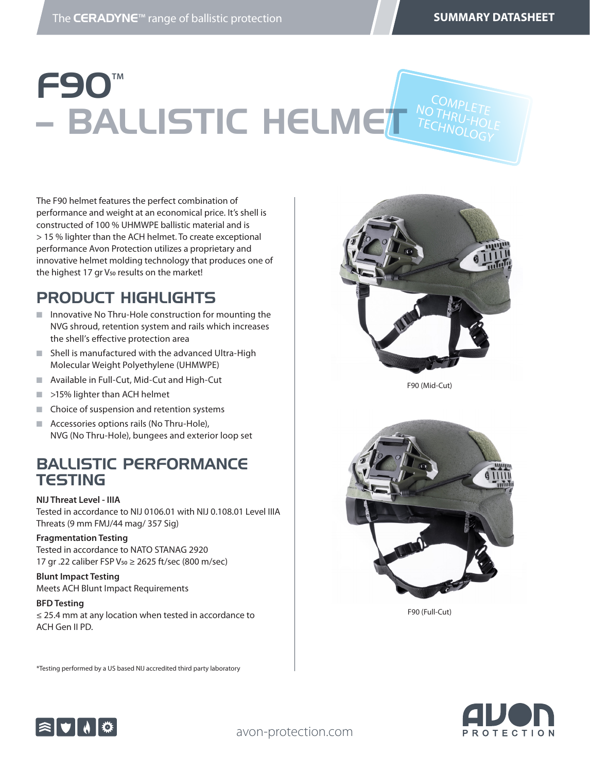COMPLETE<br>THDL:

# F90**TΜ – BALLISTIC HELMET NOTHRU-HOLE** TECHNOLOGY

The F90 helmet features the perfect combination of performance and weight at an economical price. It's shell is constructed of 100 % UHMWPE ballistic material and is > 15 % lighter than the ACH helmet. To create exceptional performance Avon Protection utilizes a proprietary and innovative helmet molding technology that produces one of the highest 17 gr V<sub>50</sub> results on the market!

#### PRODUCT HIGHLIGHTS

- $\blacksquare$  Innovative No Thru-Hole construction for mounting the NVG shroud, retention system and rails which increases the shell's effective protection area
- $\blacksquare$  Shell is manufactured with the advanced Ultra-High Molecular Weight Polyethylene (UHMWPE)
- Available in Full-Cut, Mid-Cut and High-Cut
- $\blacksquare$  >15% lighter than ACH helmet
- $\blacksquare$  Choice of suspension and retention systems
- $\blacksquare$  Accessories options rails (No Thru-Hole), NVG (No Thru-Hole), bungees and exterior loop set

#### BALLISTIC PERFORMANCE **TESTING**

**NIJ Threat Level - IIIA** Tested in accordance to NIJ 0106.01 with NIJ 0.108.01 Level IIIA Threats (9 mm FMJ/44 mag/ 357 Sig)

#### **Fragmentation Testing**

Tested in accordance to NATO STANAG 2920 17 gr .22 caliber FSP V50 ≥ 2625 ft/sec (800 m/sec)

**Blunt Impact Testing** Meets ACH Blunt Impact Requirements

#### **BFD Testing**

≤ 25.4 mm at any location when tested in accordance to ACH Gen II PD.

\*Testing performed by a US based NIJ accredited third party laboratory



F90 (Mid-Cut)



F90 (Full-Cut)